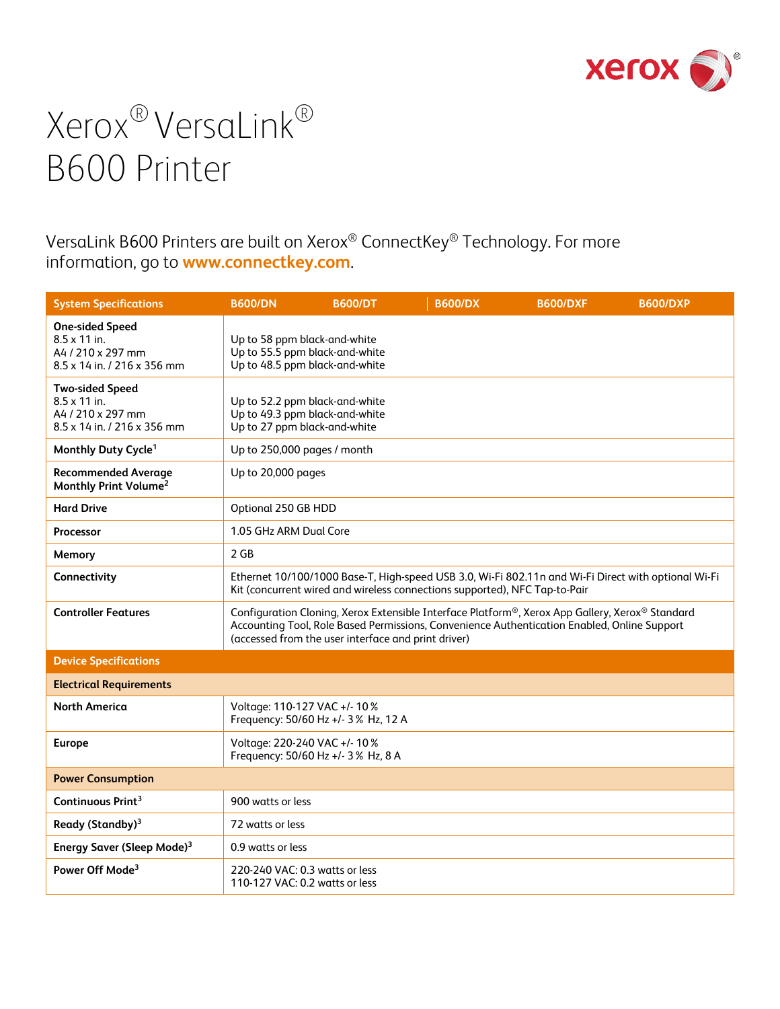

VersaLink B600 Printers are built on Xerox® ConnectKey® Technology. For more information, go to **[www.connectkey.com](http://www.connectkey.com/)**.

| <b>System Specifications</b>                                                                      | <b>B600/DN</b>                                                                                   | <b>B600/DT</b>                                      | <b>B600/DX</b>                                                                                                                                                                                 | <b>B600/DXF</b> | <b>B600/DXP</b>                                                                                     |
|---------------------------------------------------------------------------------------------------|--------------------------------------------------------------------------------------------------|-----------------------------------------------------|------------------------------------------------------------------------------------------------------------------------------------------------------------------------------------------------|-----------------|-----------------------------------------------------------------------------------------------------|
| <b>One-sided Speed</b><br>$8.5 \times 11$ in.<br>A4 / 210 x 297 mm<br>8.5 x 14 in. / 216 x 356 mm | Up to 58 ppm black-and-white<br>Up to 55.5 ppm black-and-white<br>Up to 48.5 ppm black-and-white |                                                     |                                                                                                                                                                                                |                 |                                                                                                     |
| <b>Two-sided Speed</b><br>$8.5 \times 11$ in.<br>A4 / 210 x 297 mm<br>8.5 x 14 in. / 216 x 356 mm | Up to 52.2 ppm black-and-white<br>Up to 49.3 ppm black-and-white<br>Up to 27 ppm black-and-white |                                                     |                                                                                                                                                                                                |                 |                                                                                                     |
| Monthly Duty Cycle <sup>1</sup>                                                                   | Up to 250,000 pages / month                                                                      |                                                     |                                                                                                                                                                                                |                 |                                                                                                     |
| <b>Recommended Average</b><br>Monthly Print Volume <sup>2</sup>                                   | Up to 20,000 pages                                                                               |                                                     |                                                                                                                                                                                                |                 |                                                                                                     |
| <b>Hard Drive</b>                                                                                 | Optional 250 GB HDD                                                                              |                                                     |                                                                                                                                                                                                |                 |                                                                                                     |
| Processor                                                                                         | 1.05 GHz ARM Dual Core                                                                           |                                                     |                                                                                                                                                                                                |                 |                                                                                                     |
| Memory                                                                                            | 2 GB                                                                                             |                                                     |                                                                                                                                                                                                |                 |                                                                                                     |
| Connectivity                                                                                      |                                                                                                  |                                                     | Kit (concurrent wired and wireless connections supported), NFC Tap-to-Pair                                                                                                                     |                 | Ethernet 10/100/1000 Base-T, High-speed USB 3.0, Wi-Fi 802.11n and Wi-Fi Direct with optional Wi-Fi |
| <b>Controller Features</b>                                                                        |                                                                                                  | (accessed from the user interface and print driver) | Configuration Cloning, Xerox Extensible Interface Platform®, Xerox App Gallery, Xerox® Standard<br>Accounting Tool, Role Based Permissions, Convenience Authentication Enabled, Online Support |                 |                                                                                                     |
| <b>Device Specifications</b>                                                                      |                                                                                                  |                                                     |                                                                                                                                                                                                |                 |                                                                                                     |
| <b>Electrical Requirements</b>                                                                    |                                                                                                  |                                                     |                                                                                                                                                                                                |                 |                                                                                                     |
| <b>North America</b>                                                                              | Voltage: 110-127 VAC +/- 10%                                                                     | Frequency: 50/60 Hz +/- 3% Hz, 12 A                 |                                                                                                                                                                                                |                 |                                                                                                     |
| <b>Europe</b>                                                                                     | Voltage: 220-240 VAC +/- 10%                                                                     | Frequency: 50/60 Hz +/- 3% Hz, 8 A                  |                                                                                                                                                                                                |                 |                                                                                                     |
| <b>Power Consumption</b>                                                                          |                                                                                                  |                                                     |                                                                                                                                                                                                |                 |                                                                                                     |
| Continuous Print <sup>3</sup>                                                                     | 900 watts or less                                                                                |                                                     |                                                                                                                                                                                                |                 |                                                                                                     |
| Ready (Standby) <sup>3</sup>                                                                      | 72 watts or less                                                                                 |                                                     |                                                                                                                                                                                                |                 |                                                                                                     |
| Energy Saver (Sleep Mode) <sup>3</sup>                                                            | 0.9 watts or less                                                                                |                                                     |                                                                                                                                                                                                |                 |                                                                                                     |
| Power Off Mode <sup>3</sup>                                                                       | 220-240 VAC: 0.3 watts or less<br>110-127 VAC: 0.2 watts or less                                 |                                                     |                                                                                                                                                                                                |                 |                                                                                                     |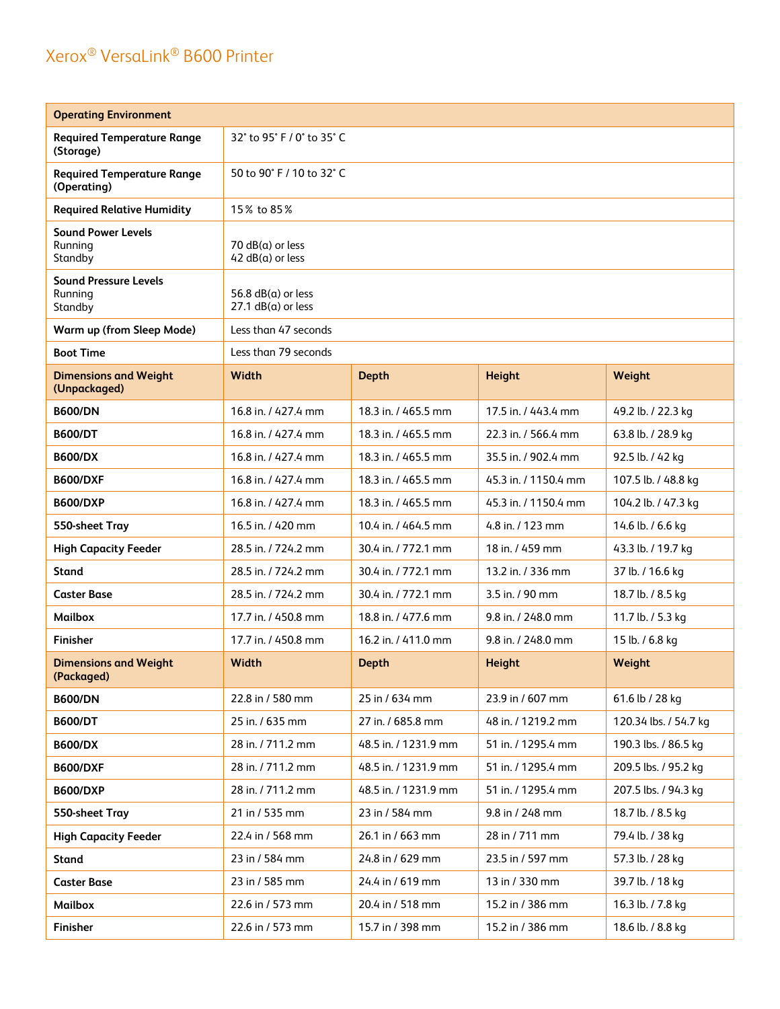| <b>Operating Environment</b>                       |                                                  |                      |                      |                       |
|----------------------------------------------------|--------------------------------------------------|----------------------|----------------------|-----------------------|
| <b>Required Temperature Range</b><br>(Storage)     | 32° to 95° F / 0° to 35° C                       |                      |                      |                       |
| <b>Required Temperature Range</b><br>(Operating)   | 50 to 90° F / 10 to 32° C                        |                      |                      |                       |
| <b>Required Relative Humidity</b>                  | 15% to 85%                                       |                      |                      |                       |
| <b>Sound Power Levels</b><br>Runnina<br>Standby    | $70$ dB( $a$ ) or less<br>$42 dB(a)$ or less     |                      |                      |                       |
| <b>Sound Pressure Levels</b><br>Running<br>Standby | 56.8 $dB(a)$ or less<br>$27.1$ dB( $a$ ) or less |                      |                      |                       |
| Warm up (from Sleep Mode)                          | Less than 47 seconds                             |                      |                      |                       |
| <b>Boot Time</b>                                   | Less than 79 seconds                             |                      |                      |                       |
| <b>Dimensions and Weight</b><br>(Unpackaged)       | Width                                            | <b>Depth</b>         | <b>Height</b>        | Weight                |
| <b>B600/DN</b>                                     | 16.8 in. / 427.4 mm                              | 18.3 in. / 465.5 mm  | 17.5 in. / 443.4 mm  | 49.2 lb. / 22.3 kg    |
| <b>B600/DT</b>                                     | 16.8 in. / 427.4 mm                              | 18.3 in. / 465.5 mm  | 22.3 in. / 566.4 mm  | 63.8 lb. / 28.9 kg    |
| <b>B600/DX</b>                                     | 16.8 in. / 427.4 mm                              | 18.3 in. / 465.5 mm  | 35.5 in. / 902.4 mm  | 92.5 lb. / 42 kg      |
| <b>B600/DXF</b>                                    | 16.8 in. / 427.4 mm                              | 18.3 in. / 465.5 mm  | 45.3 in. / 1150.4 mm | 107.5 lb. / 48.8 kg   |
| <b>B600/DXP</b>                                    | 16.8 in. / 427.4 mm                              | 18.3 in. / 465.5 mm  | 45.3 in. / 1150.4 mm | 104.2 lb. / 47.3 kg   |
| 550-sheet Tray                                     | 16.5 in. / 420 mm                                | 10.4 in. / 464.5 mm  | 4.8 in. / 123 mm     | 14.6 lb. / 6.6 kg     |
| <b>High Capacity Feeder</b>                        | 28.5 in. / 724.2 mm                              | 30.4 in. / 772.1 mm  | 18 in. / 459 mm      | 43.3 lb. / 19.7 kg    |
| <b>Stand</b>                                       | 28.5 in. / 724.2 mm                              | 30.4 in. / 772.1 mm  | 13.2 in. / 336 mm    | 37 lb. / 16.6 kg      |
| <b>Caster Base</b>                                 | 28.5 in. / 724.2 mm                              | 30.4 in. / 772.1 mm  | 3.5 in. / 90 mm      | 18.7 lb. / 8.5 kg     |
| <b>Mailbox</b>                                     | 17.7 in. / 450.8 mm                              | 18.8 in. / 477.6 mm  | 9.8 in. / 248.0 mm   | 11.7 lb. / 5.3 kg     |
| <b>Finisher</b>                                    | 17.7 in. / 450.8 mm                              | 16.2 in. / 411.0 mm  | 9.8 in. / 248.0 mm   | 15 lb. / 6.8 kg       |
| <b>Dimensions and Weight</b><br>(Packaged)         | Width                                            | <b>Depth</b>         | <b>Height</b>        | Weight                |
| <b>B600/DN</b>                                     | 22.8 in / 580 mm                                 | 25 in / 634 mm       | 23.9 in / 607 mm     | 61.6 lb / 28 kg       |
| <b>B600/DT</b>                                     | 25 in. / 635 mm                                  | 27 in. / 685.8 mm    | 48 in. / 1219.2 mm   | 120.34 lbs. / 54.7 kg |
| <b>B600/DX</b>                                     | 28 in. / 711.2 mm                                | 48.5 in. / 1231.9 mm | 51 in. / 1295.4 mm   | 190.3 lbs. / 86.5 kg  |
| <b>B600/DXF</b>                                    | 28 in. / 711.2 mm                                | 48.5 in. / 1231.9 mm | 51 in. / 1295.4 mm   | 209.5 lbs. / 95.2 kg  |
| <b>B600/DXP</b>                                    | 28 in. / 711.2 mm                                | 48.5 in. / 1231.9 mm | 51 in. / 1295.4 mm   | 207.5 lbs. / 94.3 kg  |
| 550-sheet Tray                                     | 21 in / 535 mm                                   | 23 in / 584 mm       | 9.8 in / 248 mm      | 18.7 lb. / 8.5 kg     |
| <b>High Capacity Feeder</b>                        | 22.4 in / 568 mm                                 | 26.1 in / 663 mm     | 28 in / 711 mm       | 79.4 lb. / 38 kg      |
| Stand                                              | 23 in / 584 mm                                   | 24.8 in / 629 mm     | 23.5 in / 597 mm     | 57.3 lb. / 28 kg      |
| <b>Caster Base</b>                                 | 23 in / 585 mm                                   | 24.4 in / 619 mm     | 13 in / 330 mm       | 39.7 lb. / 18 kg      |
| Mailbox                                            | 22.6 in / 573 mm                                 | 20.4 in / 518 mm     | 15.2 in / 386 mm     | 16.3 lb. / 7.8 kg     |
| Finisher                                           | 22.6 in / 573 mm                                 | 15.7 in / 398 mm     | 15.2 in / 386 mm     | 18.6 lb. / 8.8 kg     |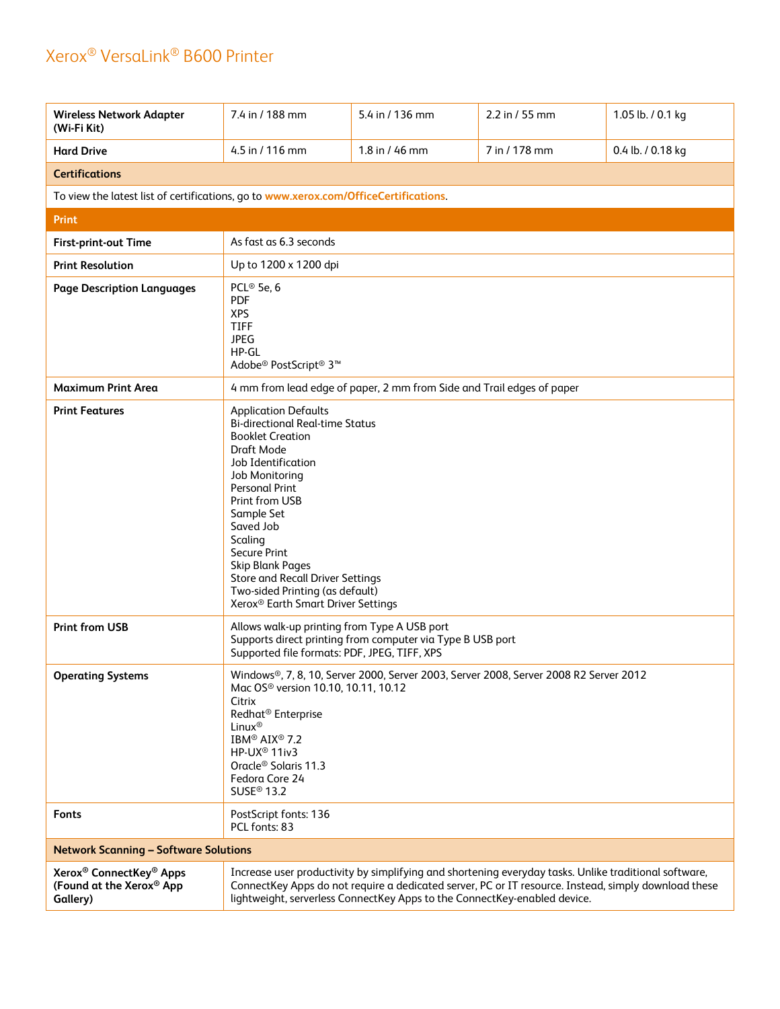| <b>Wireless Network Adapter</b><br>(Wi-Fi Kit)                                          | 7.4 in / 188 mm                                                                                                                                                                                                                                                                                                                                                                                                    | 5.4 in / 136 mm                                                                                                                                                                                                                                                                            | 2.2 in / 55 mm | 1.05 lb. / 0.1 kg |
|-----------------------------------------------------------------------------------------|--------------------------------------------------------------------------------------------------------------------------------------------------------------------------------------------------------------------------------------------------------------------------------------------------------------------------------------------------------------------------------------------------------------------|--------------------------------------------------------------------------------------------------------------------------------------------------------------------------------------------------------------------------------------------------------------------------------------------|----------------|-------------------|
| <b>Hard Drive</b>                                                                       | 4.5 in $/$ 116 mm                                                                                                                                                                                                                                                                                                                                                                                                  | 1.8 in / 46 mm                                                                                                                                                                                                                                                                             | 7 in / 178 mm  | 0.4 lb. / 0.18 kg |
| <b>Certifications</b>                                                                   |                                                                                                                                                                                                                                                                                                                                                                                                                    |                                                                                                                                                                                                                                                                                            |                |                   |
| To view the latest list of certifications, go to www.xerox.com/OfficeCertifications.    |                                                                                                                                                                                                                                                                                                                                                                                                                    |                                                                                                                                                                                                                                                                                            |                |                   |
| <b>Print</b>                                                                            |                                                                                                                                                                                                                                                                                                                                                                                                                    |                                                                                                                                                                                                                                                                                            |                |                   |
| First-print-out Time                                                                    | As fast as 6.3 seconds                                                                                                                                                                                                                                                                                                                                                                                             |                                                                                                                                                                                                                                                                                            |                |                   |
| <b>Print Resolution</b>                                                                 | Up to 1200 x 1200 dpi                                                                                                                                                                                                                                                                                                                                                                                              |                                                                                                                                                                                                                                                                                            |                |                   |
| <b>Page Description Languages</b>                                                       | PCL <sup>®</sup> 5e, 6<br><b>PDF</b><br><b>XPS</b><br><b>TIFF</b><br><b>JPEG</b><br>HP-GL<br>Adobe <sup>®</sup> PostScript <sup>®</sup> 3 <sup>™</sup>                                                                                                                                                                                                                                                             |                                                                                                                                                                                                                                                                                            |                |                   |
| <b>Maximum Print Area</b>                                                               | 4 mm from lead edge of paper, 2 mm from Side and Trail edges of paper                                                                                                                                                                                                                                                                                                                                              |                                                                                                                                                                                                                                                                                            |                |                   |
| <b>Print Features</b>                                                                   | <b>Application Defaults</b><br><b>Bi-directional Real-time Status</b><br><b>Booklet Creation</b><br>Draft Mode<br>Job Identification<br>Job Monitoring<br><b>Personal Print</b><br>Print from USB<br>Sample Set<br>Saved Job<br>Scaling<br>Secure Print<br><b>Skip Blank Pages</b><br><b>Store and Recall Driver Settings</b><br>Two-sided Printing (as default)<br>Xerox <sup>®</sup> Earth Smart Driver Settings |                                                                                                                                                                                                                                                                                            |                |                   |
| <b>Print from USB</b>                                                                   | Allows walk-up printing from Type A USB port<br>Supported file formats: PDF, JPEG, TIFF, XPS                                                                                                                                                                                                                                                                                                                       | Supports direct printing from computer via Type B USB port                                                                                                                                                                                                                                 |                |                   |
| <b>Operating Systems</b>                                                                | Windows®, 7, 8, 10, Server 2000, Server 2003, Server 2008, Server 2008 R2 Server 2012<br>Mac OS <sup>®</sup> version 10.10, 10.11, 10.12<br>Citrix<br>Redhat <sup>®</sup> Enterprise<br>Linux <sup>®</sup><br>IBM® AIX® 7.2<br>HP-UX <sup>®</sup> 11iv3<br>Oracle <sup>®</sup> Solaris 11.3<br>Fedora Core 24<br>SUSE <sup>®</sup> 13.2                                                                            |                                                                                                                                                                                                                                                                                            |                |                   |
| <b>Fonts</b>                                                                            | PostScript fonts: 136<br>PCL fonts: 83                                                                                                                                                                                                                                                                                                                                                                             |                                                                                                                                                                                                                                                                                            |                |                   |
| <b>Network Scanning - Software Solutions</b>                                            |                                                                                                                                                                                                                                                                                                                                                                                                                    |                                                                                                                                                                                                                                                                                            |                |                   |
| Xerox <sup>®</sup> ConnectKey <sup>®</sup> Apps<br>(Found at the Xerox® App<br>Gallery) |                                                                                                                                                                                                                                                                                                                                                                                                                    | Increase user productivity by simplifying and shortening everyday tasks. Unlike traditional software,<br>ConnectKey Apps do not require a dedicated server, PC or IT resource. Instead, simply download these<br>lightweight, serverless ConnectKey Apps to the ConnectKey-enabled device. |                |                   |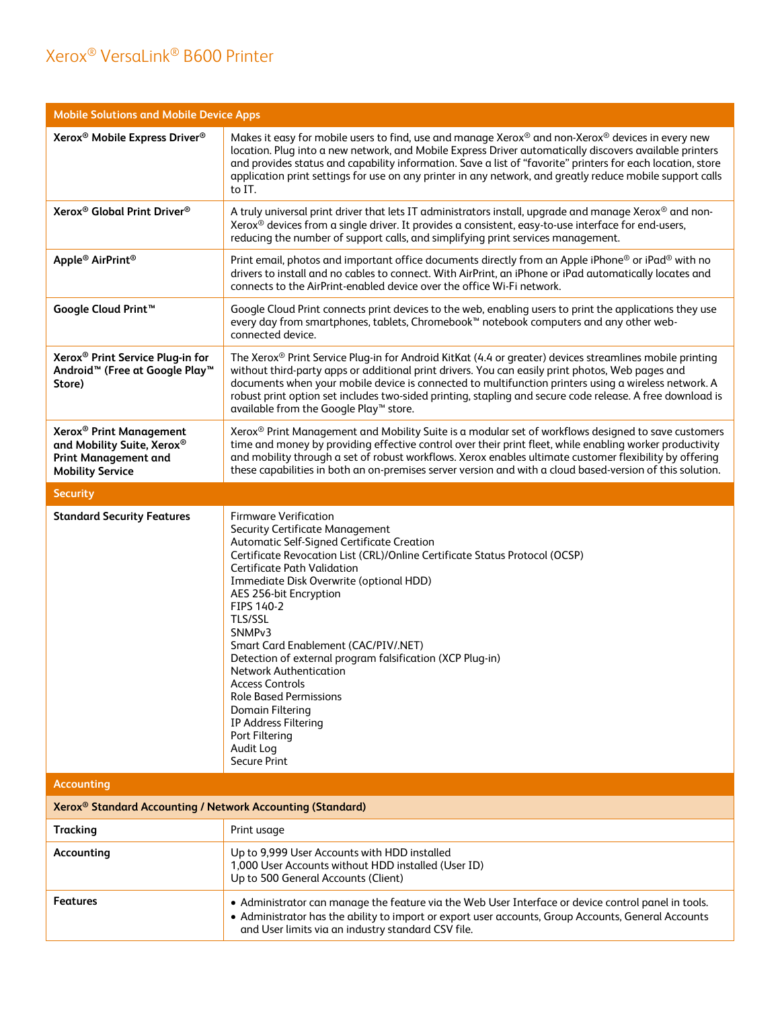| <b>Mobile Solutions and Mobile Device Apps</b>                                                                              |                                                                                                                                                                                                                                                                                                                                                                                                                                                                                                                                                                                                                                                                  |  |  |
|-----------------------------------------------------------------------------------------------------------------------------|------------------------------------------------------------------------------------------------------------------------------------------------------------------------------------------------------------------------------------------------------------------------------------------------------------------------------------------------------------------------------------------------------------------------------------------------------------------------------------------------------------------------------------------------------------------------------------------------------------------------------------------------------------------|--|--|
| Xerox <sup>®</sup> Mobile Express Driver <sup>®</sup>                                                                       | Makes it easy for mobile users to find, use and manage Xerox® and non-Xerox® devices in every new<br>location. Plug into a new network, and Mobile Express Driver automatically discovers available printers<br>and provides status and capability information. Save a list of "favorite" printers for each location, store<br>application print settings for use on any printer in any network, and greatly reduce mobile support calls<br>to IT.                                                                                                                                                                                                               |  |  |
| Xerox <sup>®</sup> Global Print Driver <sup>®</sup>                                                                         | A truly universal print driver that lets IT administrators install, upgrade and manage Xerox® and non-<br>Xerox <sup>®</sup> devices from a single driver. It provides a consistent, easy-to-use interface for end-users,<br>reducing the number of support calls, and simplifying print services management.                                                                                                                                                                                                                                                                                                                                                    |  |  |
| Apple <sup>®</sup> AirPrint <sup>®</sup>                                                                                    | Print email, photos and important office documents directly from an Apple iPhone® or iPad® with no<br>drivers to install and no cables to connect. With AirPrint, an iPhone or iPad automatically locates and<br>connects to the AirPrint-enabled device over the office Wi-Fi network.                                                                                                                                                                                                                                                                                                                                                                          |  |  |
| Google Cloud Print <sup>™</sup>                                                                                             | Google Cloud Print connects print devices to the web, enabling users to print the applications they use<br>every day from smartphones, tablets, Chromebook <sup>™</sup> notebook computers and any other web-<br>connected device.                                                                                                                                                                                                                                                                                                                                                                                                                               |  |  |
| Xerox <sup>®</sup> Print Service Plug-in for<br>Android <sup>™</sup> (Free at Google Play <sup>™</sup><br>Store)            | The Xerox® Print Service Plug-in for Android KitKat (4.4 or greater) devices streamlines mobile printing<br>without third-party apps or additional print drivers. You can easily print photos, Web pages and<br>documents when your mobile device is connected to multifunction printers using a wireless network. A<br>robust print option set includes two-sided printing, stapling and secure code release. A free download is<br>available from the Google Play™ store.                                                                                                                                                                                      |  |  |
| Xerox <sup>®</sup> Print Management<br>and Mobility Suite, Xerox®<br><b>Print Management and</b><br><b>Mobility Service</b> | Xerox <sup>®</sup> Print Management and Mobility Suite is a modular set of workflows designed to save customers<br>time and money by providing effective control over their print fleet, while enabling worker productivity<br>and mobility through a set of robust workflows. Xerox enables ultimate customer flexibility by offering<br>these capabilities in both an on-premises server version and with a cloud based-version of this solution.                                                                                                                                                                                                              |  |  |
| <b>Security</b>                                                                                                             |                                                                                                                                                                                                                                                                                                                                                                                                                                                                                                                                                                                                                                                                  |  |  |
| <b>Standard Security Features</b>                                                                                           | <b>Firmware Verification</b><br><b>Security Certificate Management</b><br>Automatic Self-Signed Certificate Creation<br>Certificate Revocation List (CRL)/Online Certificate Status Protocol (OCSP)<br><b>Certificate Path Validation</b><br>Immediate Disk Overwrite (optional HDD)<br>AES 256-bit Encryption<br>FIPS 140-2<br>TLS/SSL<br>SNMP <sub>v3</sub><br>Smart Card Enablement (CAC/PIV/.NET)<br>Detection of external program falsification (XCP Plug-in)<br><b>Network Authentication</b><br><b>Access Controls</b><br><b>Role Based Permissions</b><br>Domain Filtering<br>IP Address Filtering<br>Port Filtering<br>Audit Log<br><b>Secure Print</b> |  |  |
| <b>Accounting</b>                                                                                                           |                                                                                                                                                                                                                                                                                                                                                                                                                                                                                                                                                                                                                                                                  |  |  |
| <b>Xerox<sup>®</sup> Standard Accounting / Network Accounting (Standard)</b>                                                |                                                                                                                                                                                                                                                                                                                                                                                                                                                                                                                                                                                                                                                                  |  |  |
| <b>Tracking</b>                                                                                                             | Print usage                                                                                                                                                                                                                                                                                                                                                                                                                                                                                                                                                                                                                                                      |  |  |
| Accounting                                                                                                                  | Up to 9,999 User Accounts with HDD installed<br>1,000 User Accounts without HDD installed (User ID)<br>Up to 500 General Accounts (Client)                                                                                                                                                                                                                                                                                                                                                                                                                                                                                                                       |  |  |
| <b>Features</b>                                                                                                             | • Administrator can manage the feature via the Web User Interface or device control panel in tools.<br>• Administrator has the ability to import or export user accounts, Group Accounts, General Accounts<br>and User limits via an industry standard CSV file.                                                                                                                                                                                                                                                                                                                                                                                                 |  |  |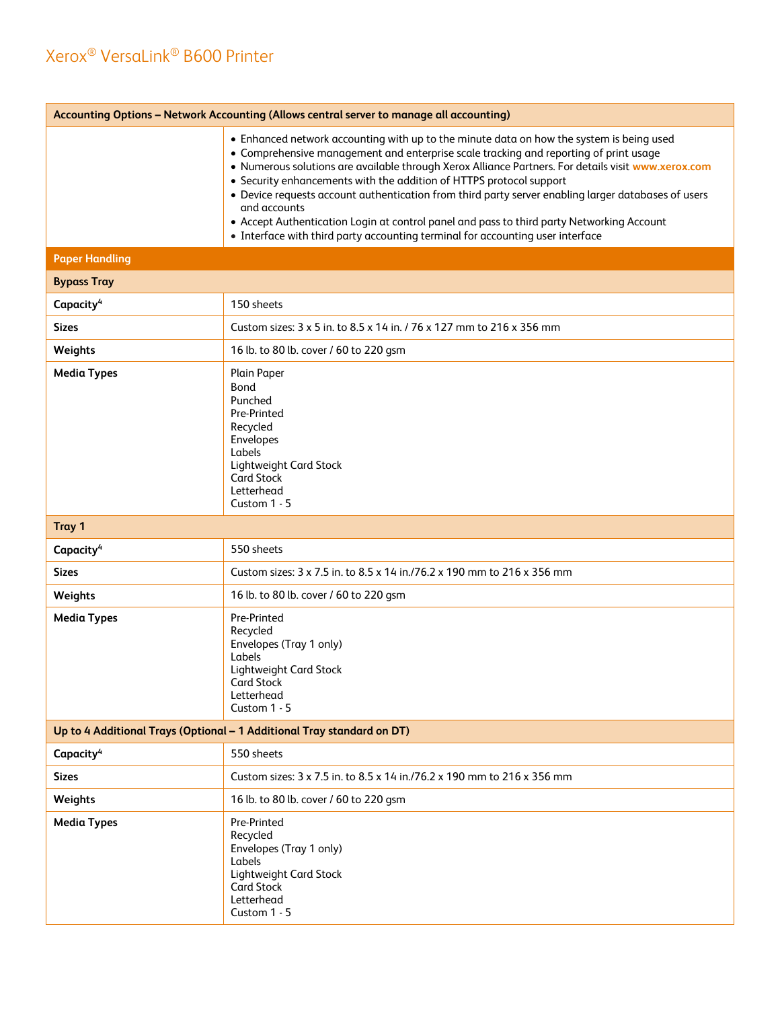| Accounting Options - Network Accounting (Allows central server to manage all accounting) |                                                                                                                                                                                                                                                                                                                                                                                                                                                                                                                                                                                                                                                                       |  |  |
|------------------------------------------------------------------------------------------|-----------------------------------------------------------------------------------------------------------------------------------------------------------------------------------------------------------------------------------------------------------------------------------------------------------------------------------------------------------------------------------------------------------------------------------------------------------------------------------------------------------------------------------------------------------------------------------------------------------------------------------------------------------------------|--|--|
|                                                                                          | • Enhanced network accounting with up to the minute data on how the system is being used<br>• Comprehensive management and enterprise scale tracking and reporting of print usage<br>. Numerous solutions are available through Xerox Alliance Partners. For details visit www.xerox.com<br>• Security enhancements with the addition of HTTPS protocol support<br>• Device requests account authentication from third party server enabling larger databases of users<br>and accounts<br>• Accept Authentication Login at control panel and pass to third party Networking Account<br>• Interface with third party accounting terminal for accounting user interface |  |  |
| <b>Paper Handling</b>                                                                    |                                                                                                                                                                                                                                                                                                                                                                                                                                                                                                                                                                                                                                                                       |  |  |
| <b>Bypass Tray</b>                                                                       |                                                                                                                                                                                                                                                                                                                                                                                                                                                                                                                                                                                                                                                                       |  |  |
| Capacity <sup>4</sup>                                                                    | 150 sheets                                                                                                                                                                                                                                                                                                                                                                                                                                                                                                                                                                                                                                                            |  |  |
| <b>Sizes</b>                                                                             | Custom sizes: 3 x 5 in. to 8.5 x 14 in. / 76 x 127 mm to 216 x 356 mm                                                                                                                                                                                                                                                                                                                                                                                                                                                                                                                                                                                                 |  |  |
| Weights                                                                                  | 16 lb. to 80 lb. cover / 60 to 220 gsm                                                                                                                                                                                                                                                                                                                                                                                                                                                                                                                                                                                                                                |  |  |
| <b>Media Types</b>                                                                       | Plain Paper<br>Bond<br>Punched<br>Pre-Printed<br>Recycled<br>Envelopes<br>Labels<br>Lightweight Card Stock<br><b>Card Stock</b><br>Letterhead<br>Custom 1 - 5                                                                                                                                                                                                                                                                                                                                                                                                                                                                                                         |  |  |
| Tray 1                                                                                   |                                                                                                                                                                                                                                                                                                                                                                                                                                                                                                                                                                                                                                                                       |  |  |
| Capacity <sup>4</sup>                                                                    | 550 sheets                                                                                                                                                                                                                                                                                                                                                                                                                                                                                                                                                                                                                                                            |  |  |
| <b>Sizes</b>                                                                             | Custom sizes: 3 x 7.5 in. to 8.5 x 14 in./76.2 x 190 mm to 216 x 356 mm                                                                                                                                                                                                                                                                                                                                                                                                                                                                                                                                                                                               |  |  |
| Weights                                                                                  | 16 lb. to 80 lb. cover / 60 to 220 gsm                                                                                                                                                                                                                                                                                                                                                                                                                                                                                                                                                                                                                                |  |  |
| <b>Media Types</b>                                                                       | Pre-Printed<br>Recycled<br>Envelopes (Tray 1 only)<br>Labels<br>Lightweight Card Stock<br><b>Card Stock</b><br>Letterhead<br>Custom 1 - 5                                                                                                                                                                                                                                                                                                                                                                                                                                                                                                                             |  |  |
| Up to 4 Additional Trays (Optional - 1 Additional Tray standard on DT)                   |                                                                                                                                                                                                                                                                                                                                                                                                                                                                                                                                                                                                                                                                       |  |  |
| Capacity <sup>4</sup>                                                                    | 550 sheets                                                                                                                                                                                                                                                                                                                                                                                                                                                                                                                                                                                                                                                            |  |  |
| <b>Sizes</b>                                                                             | Custom sizes: 3 x 7.5 in. to 8.5 x 14 in./76.2 x 190 mm to 216 x 356 mm                                                                                                                                                                                                                                                                                                                                                                                                                                                                                                                                                                                               |  |  |
| Weights                                                                                  | 16 lb. to 80 lb. cover / 60 to 220 gsm                                                                                                                                                                                                                                                                                                                                                                                                                                                                                                                                                                                                                                |  |  |
| <b>Media Types</b>                                                                       | Pre-Printed<br>Recycled<br>Envelopes (Tray 1 only)<br>Labels<br>Lightweight Card Stock<br><b>Card Stock</b><br>Letterhead<br>Custom 1 - 5                                                                                                                                                                                                                                                                                                                                                                                                                                                                                                                             |  |  |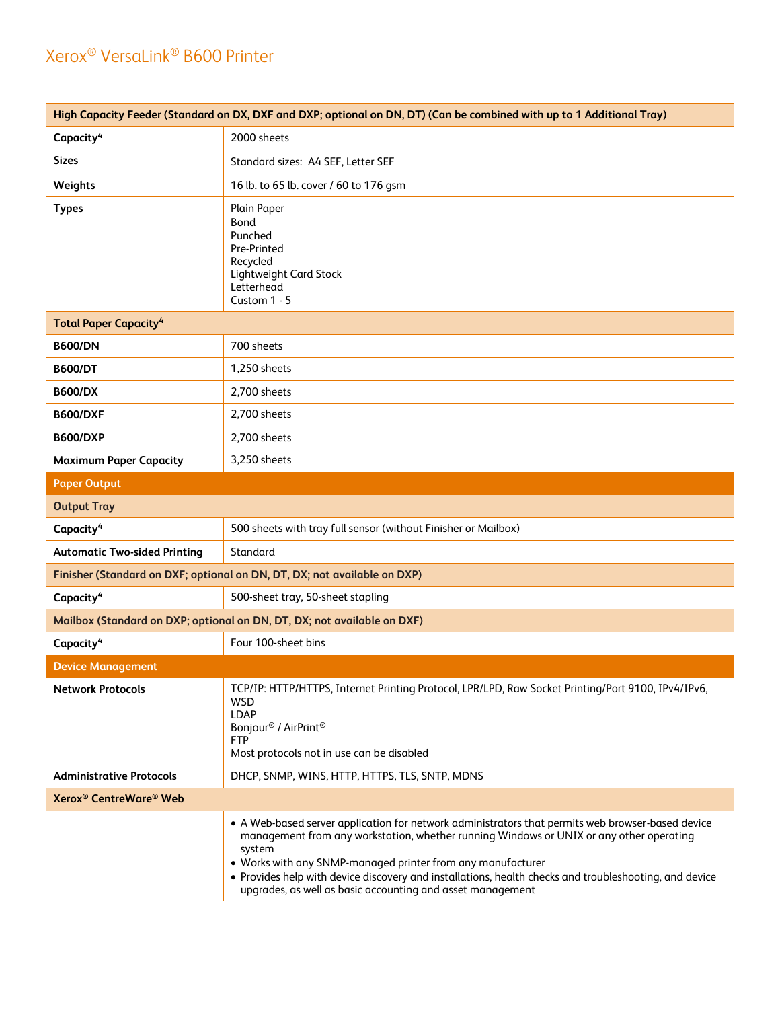| High Capacity Feeder (Standard on DX, DXF and DXP; optional on DN, DT) (Can be combined with up to 1 Additional Tray) |                                                                                                                                                                                                                                                                                                                                                                                                                                               |  |  |
|-----------------------------------------------------------------------------------------------------------------------|-----------------------------------------------------------------------------------------------------------------------------------------------------------------------------------------------------------------------------------------------------------------------------------------------------------------------------------------------------------------------------------------------------------------------------------------------|--|--|
| Capacity <sup>4</sup>                                                                                                 | 2000 sheets                                                                                                                                                                                                                                                                                                                                                                                                                                   |  |  |
| <b>Sizes</b>                                                                                                          | Standard sizes: A4 SEF, Letter SEF                                                                                                                                                                                                                                                                                                                                                                                                            |  |  |
| Weights                                                                                                               | 16 lb. to 65 lb. cover / 60 to 176 gsm                                                                                                                                                                                                                                                                                                                                                                                                        |  |  |
| <b>Types</b>                                                                                                          | Plain Paper<br><b>Bond</b><br>Punched<br>Pre-Printed<br>Recycled<br>Lightweight Card Stock<br>Letterhead<br>Custom 1 - 5                                                                                                                                                                                                                                                                                                                      |  |  |
| <b>Total Paper Capacity<sup>4</sup></b>                                                                               |                                                                                                                                                                                                                                                                                                                                                                                                                                               |  |  |
| <b>B600/DN</b>                                                                                                        | 700 sheets                                                                                                                                                                                                                                                                                                                                                                                                                                    |  |  |
| <b>B600/DT</b>                                                                                                        | 1,250 sheets                                                                                                                                                                                                                                                                                                                                                                                                                                  |  |  |
| <b>B600/DX</b>                                                                                                        | 2,700 sheets                                                                                                                                                                                                                                                                                                                                                                                                                                  |  |  |
| <b>B600/DXF</b>                                                                                                       | 2,700 sheets                                                                                                                                                                                                                                                                                                                                                                                                                                  |  |  |
| <b>B600/DXP</b>                                                                                                       | 2,700 sheets                                                                                                                                                                                                                                                                                                                                                                                                                                  |  |  |
| <b>Maximum Paper Capacity</b>                                                                                         | 3,250 sheets                                                                                                                                                                                                                                                                                                                                                                                                                                  |  |  |
| <b>Paper Output</b>                                                                                                   |                                                                                                                                                                                                                                                                                                                                                                                                                                               |  |  |
| <b>Output Tray</b>                                                                                                    |                                                                                                                                                                                                                                                                                                                                                                                                                                               |  |  |
| Capacity <sup>4</sup>                                                                                                 | 500 sheets with tray full sensor (without Finisher or Mailbox)                                                                                                                                                                                                                                                                                                                                                                                |  |  |
| <b>Automatic Two-sided Printing</b>                                                                                   | Standard                                                                                                                                                                                                                                                                                                                                                                                                                                      |  |  |
|                                                                                                                       | Finisher (Standard on DXF; optional on DN, DT, DX; not available on DXP)                                                                                                                                                                                                                                                                                                                                                                      |  |  |
| Capacity <sup>4</sup>                                                                                                 | 500-sheet tray, 50-sheet stapling                                                                                                                                                                                                                                                                                                                                                                                                             |  |  |
|                                                                                                                       | Mailbox (Standard on DXP; optional on DN, DT, DX; not available on DXF)                                                                                                                                                                                                                                                                                                                                                                       |  |  |
| Capacity <sup>4</sup>                                                                                                 | Four 100-sheet bins                                                                                                                                                                                                                                                                                                                                                                                                                           |  |  |
| <b>Device Management</b>                                                                                              |                                                                                                                                                                                                                                                                                                                                                                                                                                               |  |  |
| <b>Network Protocols</b>                                                                                              | TCP/IP: HTTP/HTTPS, Internet Printing Protocol, LPR/LPD, Raw Socket Printing/Port 9100, IPv4/IPv6,<br><b>WSD</b><br><b>LDAP</b><br>Bonjour <sup>®</sup> / AirPrint <sup>®</sup><br><b>FTP</b><br>Most protocols not in use can be disabled                                                                                                                                                                                                    |  |  |
| <b>Administrative Protocols</b>                                                                                       | DHCP, SNMP, WINS, HTTP, HTTPS, TLS, SNTP, MDNS                                                                                                                                                                                                                                                                                                                                                                                                |  |  |
| <b>Xerox<sup>®</sup> CentreWare<sup>®</sup> Web</b>                                                                   |                                                                                                                                                                                                                                                                                                                                                                                                                                               |  |  |
|                                                                                                                       | • A Web-based server application for network administrators that permits web browser-based device<br>management from any workstation, whether running Windows or UNIX or any other operating<br>system<br>• Works with any SNMP-managed printer from any manufacturer<br>• Provides help with device discovery and installations, health checks and troubleshooting, and device<br>upgrades, as well as basic accounting and asset management |  |  |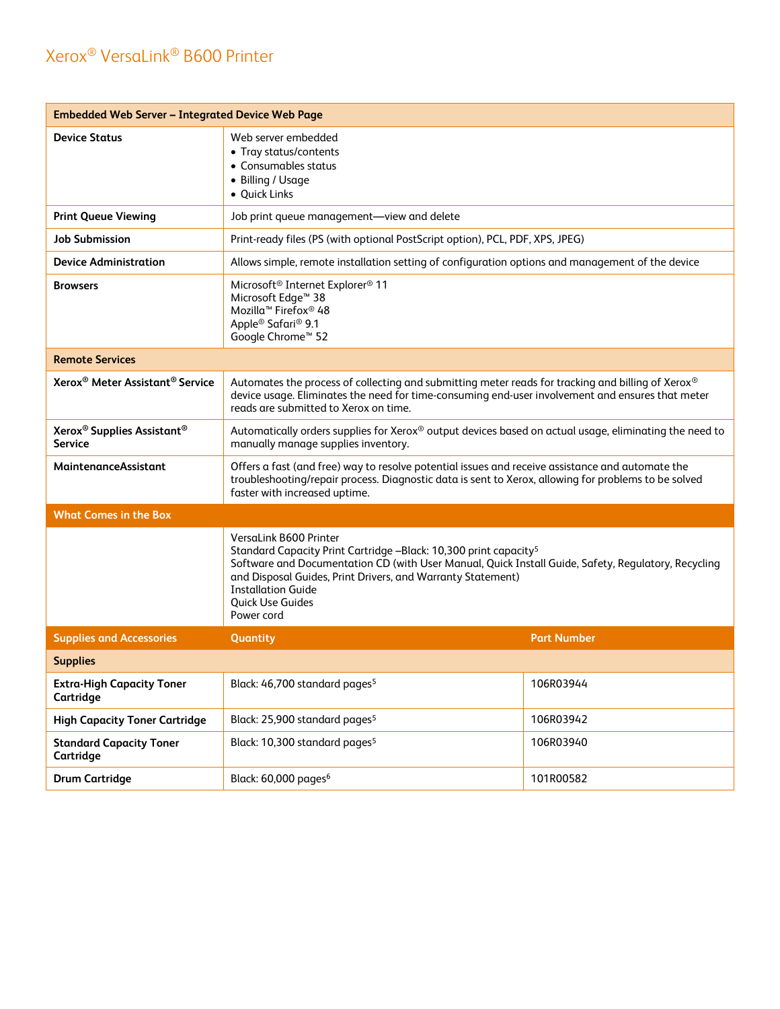| <b>Embedded Web Server - Integrated Device Web Page</b>              |                                                                                                                                                                                                                                                                                                                                             |                    |  |
|----------------------------------------------------------------------|---------------------------------------------------------------------------------------------------------------------------------------------------------------------------------------------------------------------------------------------------------------------------------------------------------------------------------------------|--------------------|--|
| <b>Device Status</b>                                                 | Web server embedded<br>• Tray status/contents<br>• Consumables status<br>• Billing / Usage<br>• Quick Links                                                                                                                                                                                                                                 |                    |  |
| <b>Print Queue Viewing</b>                                           | Job print queue management-view and delete                                                                                                                                                                                                                                                                                                  |                    |  |
| <b>Job Submission</b>                                                | Print-ready files (PS (with optional PostScript option), PCL, PDF, XPS, JPEG)                                                                                                                                                                                                                                                               |                    |  |
| <b>Device Administration</b>                                         | Allows simple, remote installation setting of configuration options and management of the device                                                                                                                                                                                                                                            |                    |  |
| <b>Browsers</b>                                                      | Microsoft <sup>®</sup> Internet Explorer <sup>®</sup> 11<br>Microsoft Edge <sup>™</sup> 38<br>Mozilla <sup>™</sup> Firefox <sup>®</sup> 48<br>Apple <sup>®</sup> Safari <sup>®</sup> 9.1<br>Google Chrome™ 52                                                                                                                               |                    |  |
| <b>Remote Services</b>                                               |                                                                                                                                                                                                                                                                                                                                             |                    |  |
| Xerox <sup>®</sup> Meter Assistant <sup>®</sup> Service              | Automates the process of collecting and submitting meter reads for tracking and billing of Xerox®<br>device usage. Eliminates the need for time-consuming end-user involvement and ensures that meter<br>reads are submitted to Xerox on time.                                                                                              |                    |  |
| Xerox <sup>®</sup> Supplies Assistant <sup>®</sup><br><b>Service</b> | Automatically orders supplies for Xerox® output devices based on actual usage, eliminating the need to<br>manually manage supplies inventory.                                                                                                                                                                                               |                    |  |
| <b>MaintenanceAssistant</b>                                          | Offers a fast (and free) way to resolve potential issues and receive assistance and automate the<br>troubleshooting/repair process. Diagnostic data is sent to Xerox, allowing for problems to be solved<br>faster with increased uptime.                                                                                                   |                    |  |
| <b>What Comes in the Box</b>                                         |                                                                                                                                                                                                                                                                                                                                             |                    |  |
|                                                                      | VersaLink B600 Printer<br>Standard Capacity Print Cartridge -Black: 10,300 print capacity <sup>5</sup><br>Software and Documentation CD (with User Manual, Quick Install Guide, Safety, Regulatory, Recycling<br>and Disposal Guides, Print Drivers, and Warranty Statement)<br><b>Installation Guide</b><br>Quick Use Guides<br>Power cord |                    |  |
| <b>Supplies and Accessories</b>                                      | Quantity                                                                                                                                                                                                                                                                                                                                    | <b>Part Number</b> |  |
| <b>Supplies</b>                                                      |                                                                                                                                                                                                                                                                                                                                             |                    |  |
| <b>Extra-High Capacity Toner</b><br>Cartridge                        | Black: 46,700 standard pages <sup>5</sup>                                                                                                                                                                                                                                                                                                   | 106R03944          |  |
| <b>High Capacity Toner Cartridge</b>                                 | Black: 25,900 standard pages <sup>5</sup>                                                                                                                                                                                                                                                                                                   | 106R03942          |  |
| <b>Standard Capacity Toner</b><br>Cartridge                          | Black: 10,300 standard pages <sup>5</sup>                                                                                                                                                                                                                                                                                                   | 106R03940          |  |
| <b>Drum Cartridge</b>                                                | Black: 60,000 pages <sup>6</sup>                                                                                                                                                                                                                                                                                                            | 101R00582          |  |